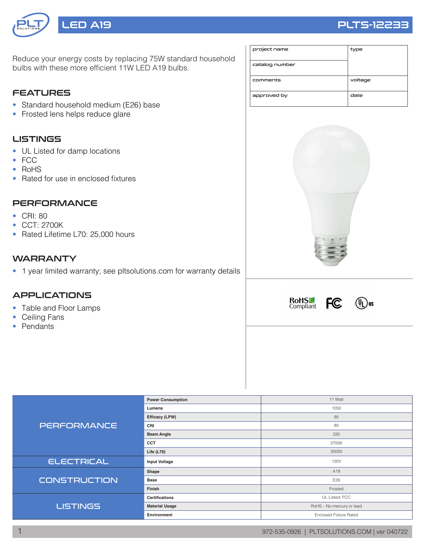

# LED A19 PLTS-12233

Reduce your energy costs by replacing 75W standard household bulbs with these more efficient 11W LED A19 bulbs.

### **FEATURES**

- Standard household medium (E26) base
- Frosted lens helps reduce glare

#### LISTINGS

- UL Listed for damp locations
- FCC
- RoHS
- Rated for use in enclosed fixtures

#### **PERFORMANCE**

- CRI: 80
- CCT: 2700K
- Rated Lifetime L70: 25,000 hours

#### **WARRANTY**

• 1 year limited warranty; see pltsolutions.com for warranty details

#### APPLICATIONS

- Table and Floor Lamps
- Ceiling Fans
- Pendants

| project name   | type    |
|----------------|---------|
| catalog number |         |
| comments       | voltage |
| approved by    | date    |







|                     | <b>Power Consumption</b> | 11 Watt                       |  |  |  |
|---------------------|--------------------------|-------------------------------|--|--|--|
| <b>PERFORMANCE</b>  | Lumens                   | 1050                          |  |  |  |
|                     | Efficacy (LPW)           | 95                            |  |  |  |
|                     | CRI                      | 80                            |  |  |  |
|                     | <b>Beam Angle</b>        | 220                           |  |  |  |
|                     | <b>CCT</b>               | 2700K                         |  |  |  |
|                     | Life $(L70)$             | 25000                         |  |  |  |
| <b>ELECTRICAL</b>   | <b>Input Voltage</b>     | 120V                          |  |  |  |
|                     | Shape                    | A19                           |  |  |  |
| <b>CONSTRUCTION</b> | <b>Base</b>              | E26                           |  |  |  |
|                     | Finish                   | Frosted                       |  |  |  |
|                     | <b>Certifications</b>    | UL Listed; FCC                |  |  |  |
| <b>LISTINGS</b>     | <b>Material Usage</b>    | RoHS - No mercury or lead     |  |  |  |
|                     | Environment              | <b>Enclosed Fixture Rated</b> |  |  |  |